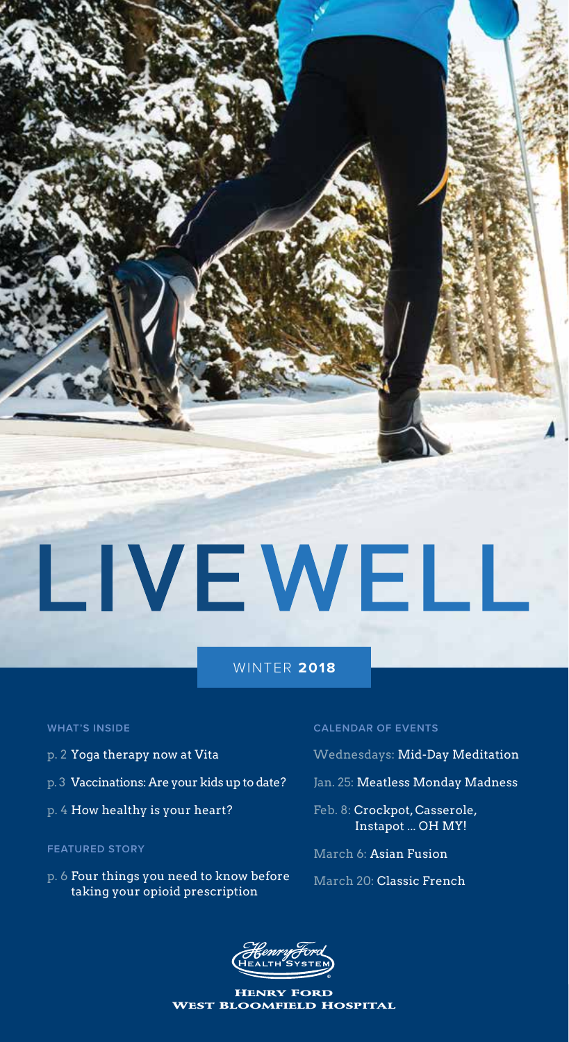# LIVEWELL

#### WINTER **2018**

#### **WHAT'S INSIDE**

- p. 2 Yoga therapy now at Vita
- p. 3 Vaccinations: Are your kids up to date?
- p. 4 How healthy is your heart?

#### **FEATURED STORY**

p. 6 Four things you need to know before taking your opioid prescription

#### **CALENDAR OF EVENTS**

- Wednesdays: Mid-Day Meditation
- Jan. 25: Meatless Monday Madness
- Feb. 8: Crockpot, Casserole, Instapot ... OH MY!
- March 6: Asian Fusion
- March 20: Classic French



Henry Ford West Bloomfield Hospital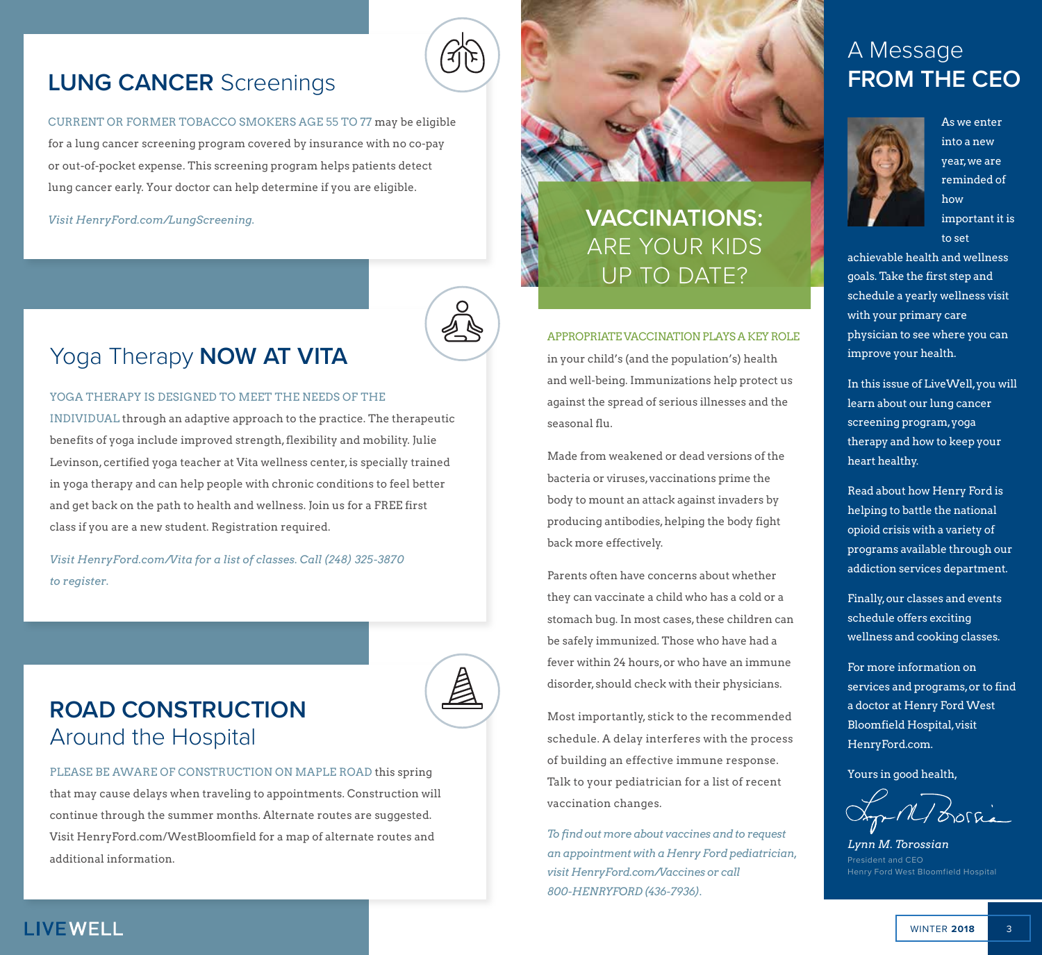### **LUNG CANCER** Screenings

CURRENT OR FORMER TOBACCO SMOKERS AGE 55 TO 77 may be eligible for a lung cancer screening program covered by insurance with no co-pay or out-of-pocket expense. This screening program helps patients detect lung cancer early. Your doctor can help determine if you are eligible.

#### *Visit HenryFord.com/LungScreening.*



### Yoga Therapy **NOW AT VITA**

#### YOGA THERAPY IS DESIGNED TO MEET THE NEEDS OF THE

INDIVIDUAL through an adaptive approach to the practice. The therapeutic benefits of yoga include improved strength, flexibility and mobility. Julie Levinson, certified yoga teacher at Vita wellness center, is specially trained in yoga therapy and can help people with chronic conditions to feel better and get back on the path to health and wellness. Join us for a FREE first class if you are a new student. Registration required.

*Visit HenryFord.com/Vita for a list of classes. Call (248) 325-3870 to register.*



PLEASE BE AWARE OF CONSTRUCTION ON MAPLE ROAD this spring that may cause delays when traveling to appointments. Construction will continue through the summer months. Alternate routes are suggested. Visit HenryFord.com/WestBloomfield for a map of alternate routes and additional information.

### **VACCINATIONS:** ARE YOUR KIDS UP TO DATE?

#### APPROPRIATE VACCINATION PLAYS A KEY ROLE

in your child's (and the population's) health and well-being. Immunizations help protect us against the spread of serious illnesses and the seasonal flu.

Made from weakened or dead versions of the bacteria or viruses, vaccinations prime the body to mount an attack against invaders by producing antibodies, helping the body fight back more effectively.

Parents often have concerns about whether they can vaccinate a child who has a cold or a stomach bug. In most cases, these children can be safely immunized. Those who have had a fever within 24 hours, or who have an immune disorder, should check with their physicians.

Most importantly, stick to the recommended schedule. A delay interferes with the process of building an effective immune response. Talk to your pediatrician for a list of recent vaccination changes.

*To find out more about vaccines and to request an appointment with a Henry Ford pediatrician, visit HenryFord.com/Vaccines or call 800-HENRYFORD (436-7936).*

### A Message **FROM THE CEO**



As we enter into a new year, we are reminded of how important it is

to set

achievable health and wellness goals. Take the first step and schedule a yearly wellness visit with your primary care physician to see where you can improve your health.

In this issue of LiveWell, you will learn about our lung cancer screening program, yoga therapy and how to keep your heart healthy.

Read about how Henry Ford is helping to battle the national opioid crisis with a variety of programs available through our addiction services department.

Finally, our classes and events schedule offers exciting wellness and cooking classes.

For more information on services and programs, or to find a doctor at Henry Ford West Bloomfield Hospital, visit HenryFord.com.

Yours in good health,

p-M/ Borria

*Lynn M. Torossian* President and CEO Henry Ford West Bloomfield Hospital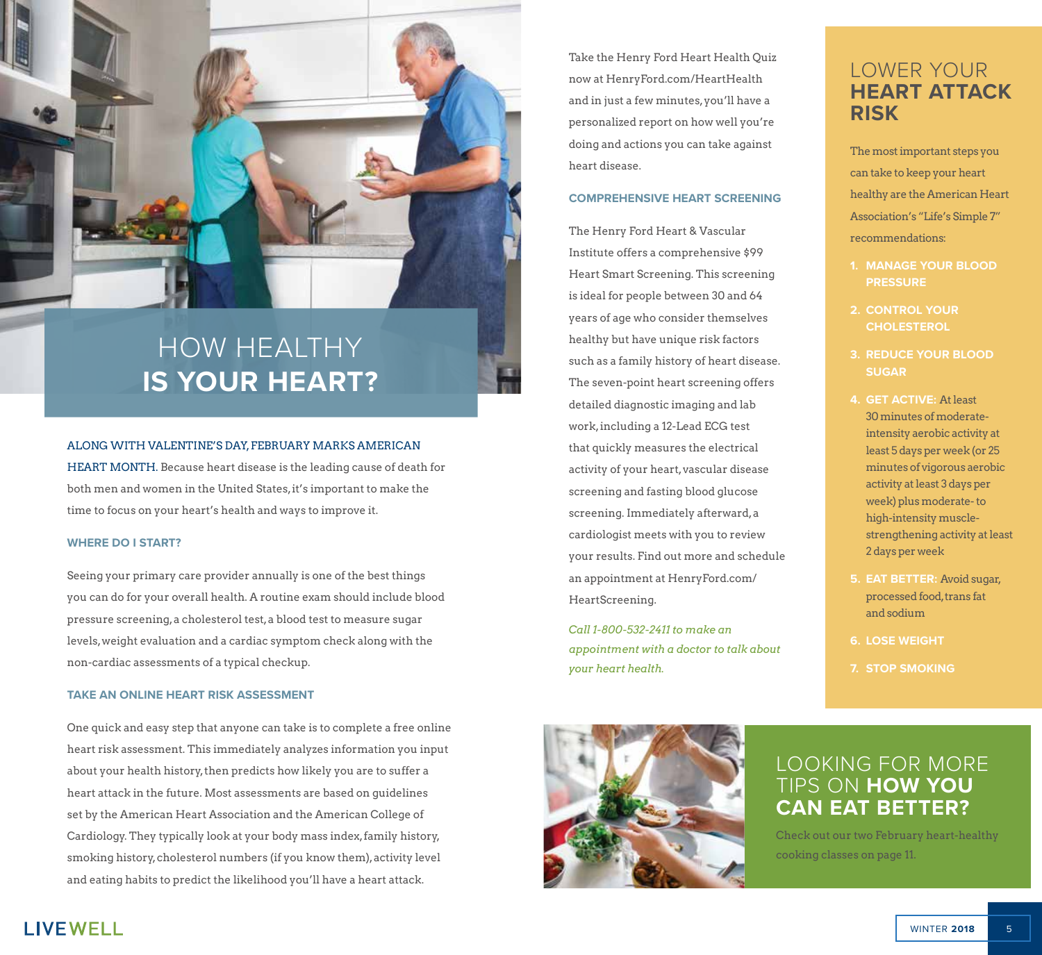

### HOW HEALTHY **IS YOUR HEART?**

#### ALONG WITH VALENTINE'S DAY, FEBRUARY MARKS AMERICAN

HEART MONTH. Because heart disease is the leading cause of death for both men and women in the United States, it's important to make the time to focus on your heart's health and ways to improve it.

#### **WHERE DO I START?**

Seeing your primary care provider annually is one of the best things you can do for your overall health. A routine exam should include blood pressure screening, a cholesterol test, a blood test to measure sugar levels, weight evaluation and a cardiac symptom check along with the non-cardiac assessments of a typical checkup.

#### **TAKE AN ONLINE HEART RISK ASSESSMENT**

One quick and easy step that anyone can take is to complete a free online heart risk assessment. This immediately analyzes information you input about your health history, then predicts how likely you are to suffer a heart attack in the future. Most assessments are based on guidelines set by the American Heart Association and the American College of Cardiology. They typically look at your body mass index, family history, smoking history, cholesterol numbers (if you know them), activity level and eating habits to predict the likelihood you'll have a heart attack.

Take the Henry Ford Heart Health Quiz now at HenryFord.com/HeartHealth and in just a few minutes, you'll have a personalized report on how well you're doing and actions you can take against heart disease.

#### **COMPREHENSIVE HEART SCREENING**

The Henry Ford Heart & Vascular Institute offers a comprehensive \$99 Heart Smart Screening. This screening is ideal for people between 30 and 64 years of age who consider themselves healthy but have unique risk factors such as a family history of heart disease. The seven-point heart screening offers detailed diagnostic imaging and lab work, including a 12-Lead ECG test that quickly measures the electrical activity of your heart, vascular disease screening and fasting blood glucose screening. Immediately afterward, a cardiologist meets with you to review your results. Find out more and schedule an appointment at HenryFord.com/ HeartScreening.

*Call 1-800-532-2411 to make an appointment with a doctor to talk about your heart health.*



The most important steps you can take to keep your heart healthy are the American Heart Association's "Life's Simple 7" recommendations:

- **1. MANAGE YOUR BLOOD PRESSURE**
- **2. CONTROL YOUR CHOLESTEROL**
- **3. REDUCE YOUR BLOOD SUGAR**
- **4. GET ACTIVE:** At least 30 minutes of moderateintensity aerobic activity at least 5 days per week (or 25 minutes of vigorous aerobic activity at least 3 days per week) plus moderate- to high-intensity musclestrengthening activity at least 2 days per week
- **5. EAT BETTER:** Avoid sugar, processed food, trans fat and sodium
- **6. LOSE WEIGHT**
- **7. STOP SMOKING**



### LOOKING FOR MORE TIPS ON **HOW YOU CAN EAT BETTER?**

Check out our two February heart-healthy cooking classes on page 11.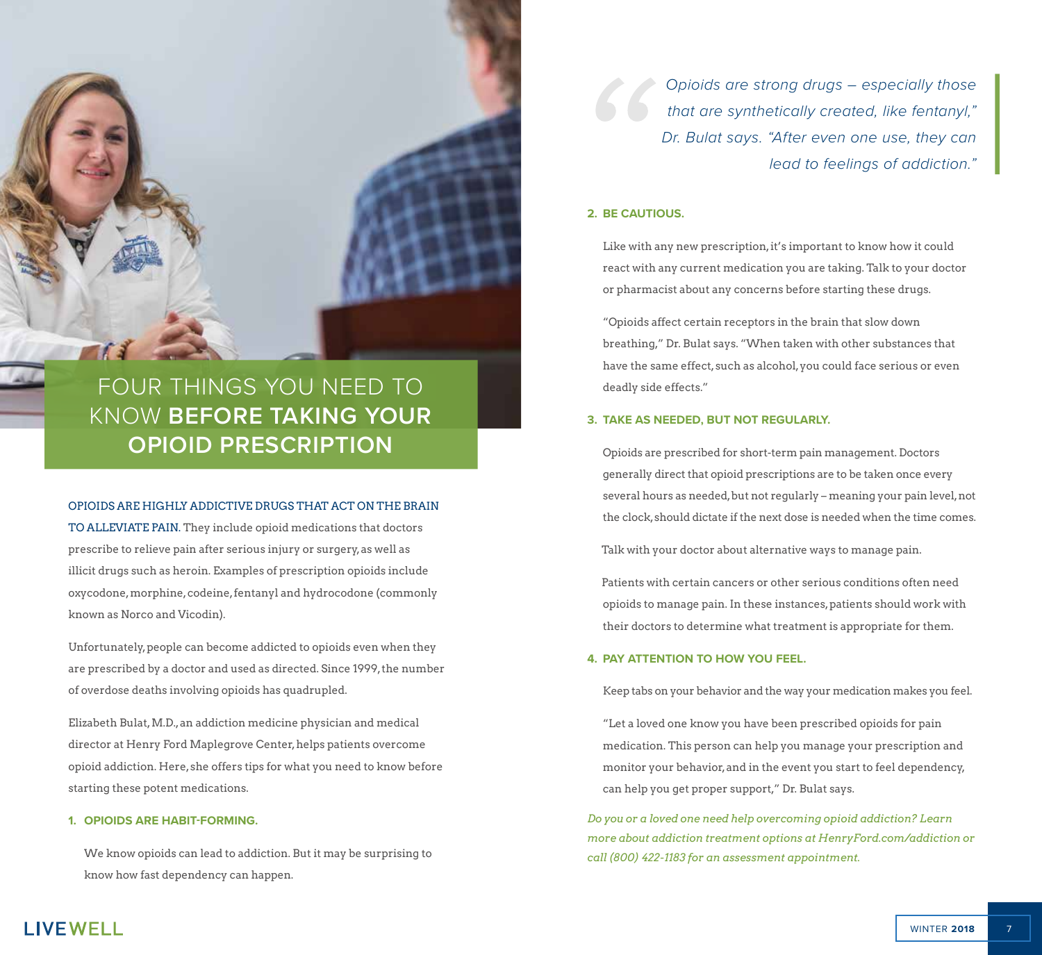### FOUR THINGS YOU NEED TO KNOW **BEFORE TAKING YOUR OPIOID PRESCRIPTION**

#### OPIOIDS ARE HIGHLY ADDICTIVE DRUGS THAT ACT ON THE BRAIN

TO ALLEVIATE PAIN. They include opioid medications that doctors prescribe to relieve pain after serious injury or surgery, as well as illicit drugs such as heroin. Examples of prescription opioids include oxycodone, morphine, codeine, fentanyl and hydrocodone (commonly known as Norco and Vicodin).

Unfortunately, people can become addicted to opioids even when they are prescribed by a doctor and used as directed. Since 1999, the number of overdose deaths involving opioids has quadrupled.

Elizabeth Bulat, M.D., an addiction medicine physician and medical director at Henry Ford Maplegrove Center, helps patients overcome opioid addiction. Here, she offers tips for what you need to know before starting these potent medications.

#### **1. OPIOIDS ARE HABIT-FORMING.**

We know opioids can lead to addiction. But it may be surprising to know how fast dependency can happen.

*Opioids are strong drugs – especially those that are synthetically created, like fentanyl," Dr. Bulat says. "After even one use, they can lead to feelings of addiction."*

#### **2. BE CAUTIOUS.**

Like with any new prescription, it's important to know how it could react with any current medication you are taking. Talk to your doctor or pharmacist about any concerns before starting these drugs.

"Opioids affect certain receptors in the brain that slow down breathing," Dr. Bulat says. "When taken with other substances that have the same effect, such as alcohol, you could face serious or even deadly side effects."

#### **3. TAKE AS NEEDED, BUT NOT REGULARLY.**

Opioids are prescribed for short-term pain management. Doctors generally direct that opioid prescriptions are to be taken once every several hours as needed, but not regularly – meaning your pain level, not the clock, should dictate if the next dose is needed when the time comes.

Talk with your doctor about alternative ways to manage pain.

Patients with certain cancers or other serious conditions often need opioids to manage pain. In these instances, patients should work with their doctors to determine what treatment is appropriate for them.

#### **4. PAY ATTENTION TO HOW YOU FEEL.**

Keep tabs on your behavior and the way your medication makes you feel.

"Let a loved one know you have been prescribed opioids for pain medication. This person can help you manage your prescription and monitor your behavior, and in the event you start to feel dependency, can help you get proper support," Dr. Bulat says.

*Do you or a loved one need help overcoming opioid addiction? Learn more about addiction treatment options at HenryFord.com/addiction or call (800) 422-1183 for an assessment appointment.*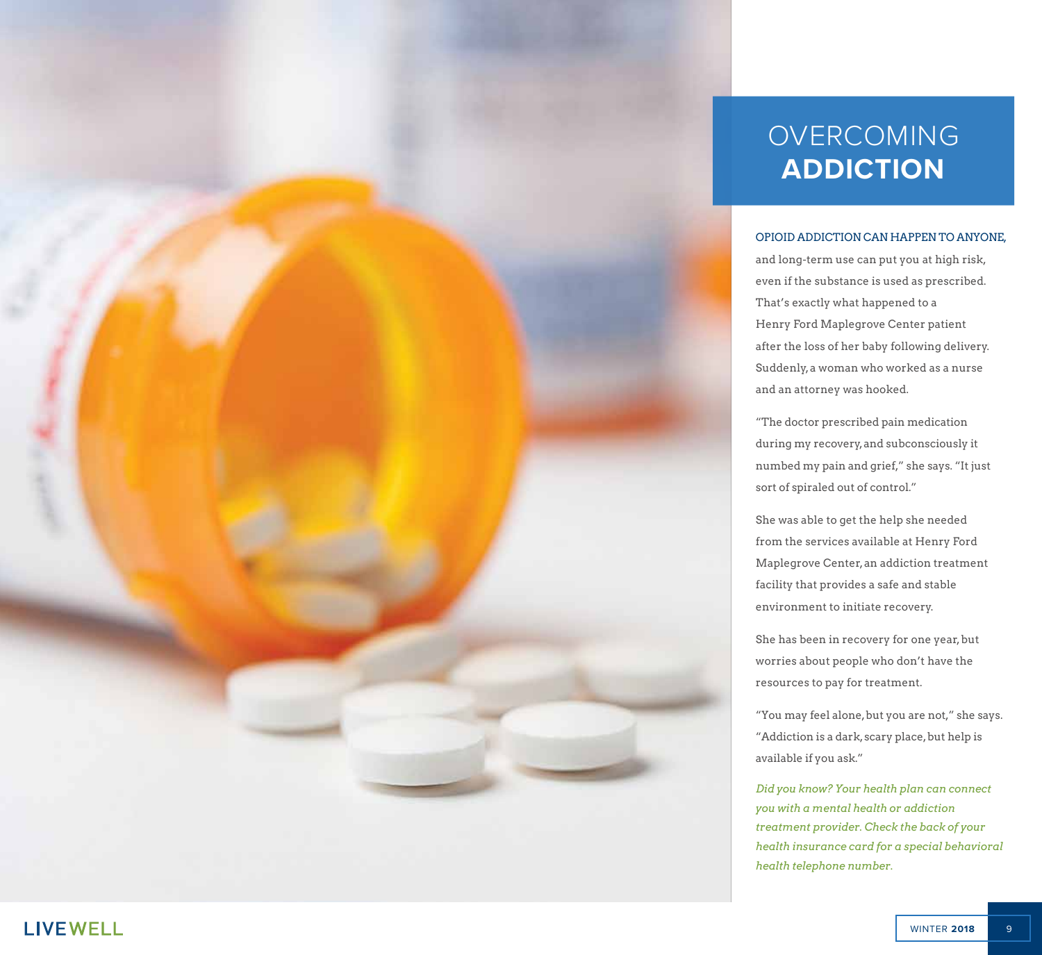### OVERCOMING **ADDICTION**

#### OPIOID ADDICTION CAN HAPPEN TO ANYONE,

and long-term use can put you at high risk, even if the substance is used as prescribed. That's exactly what happened to a Henry Ford Maplegrove Center patient after the loss of her baby following delivery. Suddenly, a woman who worked as a nurse and an attorney was hooked.

"The doctor prescribed pain medication during my recovery, and subconsciously it numbed my pain and grief," she says. "It just sort of spiraled out of control."

She was able to get the help she needed from the services available at Henry Ford Maplegrove Center, an addiction treatment facility that provides a safe and stable environment to initiate recovery.

She has been in recovery for one year, but worries about people who don't have the resources to pay for treatment.

"You may feel alone, but you are not," she says. "Addiction is a dark, scary place, but help is available if you ask."

*Did you know? Your health plan can connect you with a mental health or addiction treatment provider. Check the back of your health insurance card for a special behavioral health telephone number.*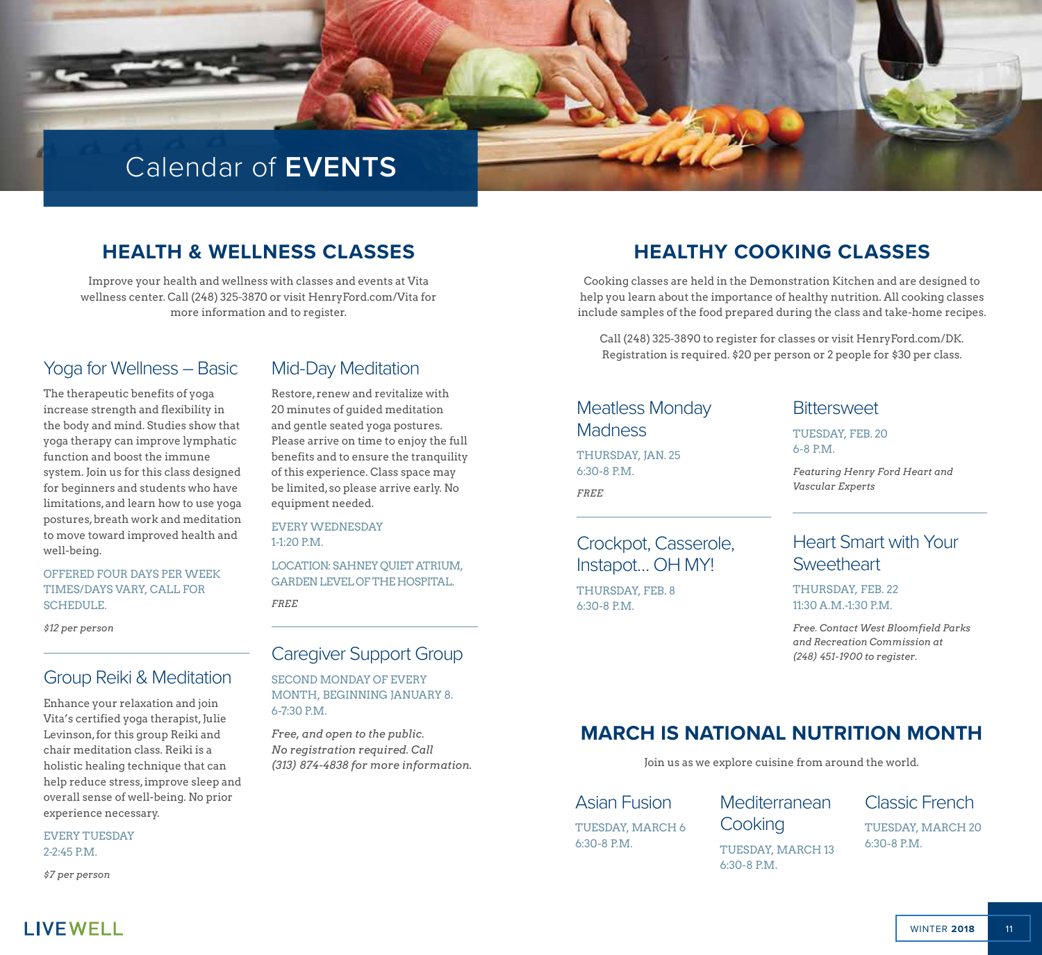### Calendar of **EVENTS**

### **HEALTH & WELLNESS CLASSES**

Improve your health and wellness with classes and events at Vita wellness center. Call (248) 325-3870 or visit HenryFord.com/Vita for more information and to register.

#### Yoga for Wellness – Basic

The therapeutic benefits of yoga increase strength and flexibility in the body and mind. Studies show that yoga therapy can improve lymphatic function and boost the immune system. Join us for this class designed for beginners and students who have limitations, and learn how to use yoga postures, breath work and meditation to move toward improved health and well-being.

#### OFFERED FOUR DAYS PER WEEK TIMES/DAYS VARY, CALL FOR SCHEDULE.

*\$12 per person*

#### Group Reiki & Meditation

Enhance your relaxation and join Vita's certified yoga therapist, Julie Levinson, for this group Reiki and chair meditation class. Reiki is a holistic healing technique that can help reduce stress, improve sleep and overall sense of well-being. No prior experience necessary.

EVERY TUESDAY 2-2:45 P.M.

*\$7 per person*

#### Mid-Day Meditation

Restore, renew and revitalize with 20 minutes of guided meditation and gentle seated yoga postures. Please arrive on time to enjoy the full benefits and to ensure the tranquility of this experience. Class space may be limited, so please arrive early. No equipment needed.

EVERY WEDNESDAY  $1-1.20$  PM

LOCATION: SAHNEY QUIET ATRIUM, GARDEN LEVEL OF THE HOSPITAL.

*FREE*

#### Caregiver Support Group

SECOND MONDAY OF EVERY MONTH, BEGINNING JANUARY 8. 6-7:30 P.M.

*Free, and open to the public. No registration required. Call (313) 874-4838 for more information.*

### **HEALTHY COOKING CLASSES**

Cooking classes are held in the Demonstration Kitchen and are designed to help you learn about the importance of healthy nutrition. All cooking classes include samples of the food prepared during the class and take-home recipes.

Call (248) 325-3890 to register for classes or visit HenryFord.com/DK. Registration is required. \$20 per person or 2 people for \$30 per class.

### Meatless Monday **Madness**

THURSDAY, JAN. 25 6:30-8 P.M. *FREE*

### Crockpot, Casserole, Instapot… OH MY!

THURSDAY, FEB. 8 6:30-8 P.M.

#### **Bittersweet**

TUESDAY, FEB. 20 6-8 P.M.

*Featuring Henry Ford Heart and Vascular Experts*

### Heart Smart with Your **Sweetheart**

THURSDAY, FEB. 22 11:30 A.M.-1:30 P.M.

*Free. Contact West Bloomfield Parks and Recreation Commission at (248) 451-1900 to register.*

### **MARCH IS NATIONAL NUTRITION MONTH**

Join us as we explore cuisine from around the world.

### Asian Fusion

TUESDAY, MARCH 6 6:30-8 P.M.

**Mediterranean** 

**Cooking** TUESDAY, MARCH 13 6:30-8 P.M.

### Classic French

TUESDAY, MARCH 20 6:30-8 P.M.